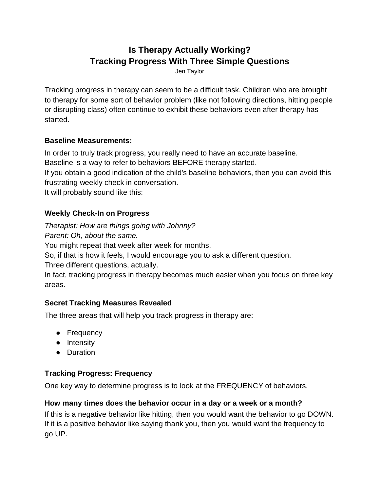# **Is Therapy Actually Working? Tracking Progress With Three Simple Questions**

Jen Taylor

Tracking progress in therapy can seem to be a difficult task. Children who are brought to therapy for some sort of behavior problem (like not following directions, hitting people or disrupting class) often continue to exhibit these behaviors even after therapy has started.

### **Baseline Measurements:**

In order to truly track progress, you really need to have an accurate baseline. Baseline is a way to refer to behaviors BEFORE therapy started. If you obtain a good indication of the child's baseline behaviors, then you can avoid this frustrating weekly check in conversation. It will probably sound like this:

### **Weekly Check-In on Progress**

*Therapist: How are things going with Johnny? Parent: Oh, about the same.*  You might repeat that week after week for months. So, if that is how it feels, I would encourage you to ask a different question. Three different questions, actually. In fact, tracking progress in therapy becomes much easier when you focus on three key areas.

## **Secret Tracking Measures Revealed**

The three areas that will help you track progress in therapy are:

- Frequency
- Intensity
- Duration

## **Tracking Progress: Frequency**

One key way to determine progress is to look at the FREQUENCY of behaviors.

### **How many times does the behavior occur in a day or a week or a month?**

If this is a negative behavior like hitting, then you would want the behavior to go DOWN. If it is a positive behavior like saying thank you, then you would want the frequency to go UP.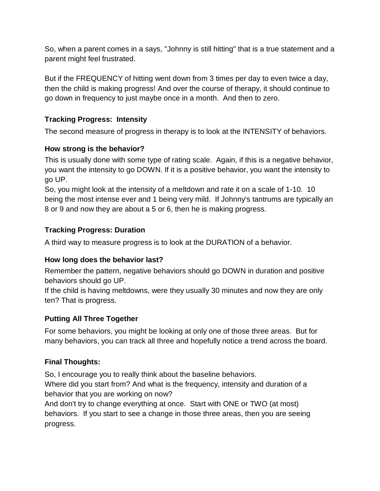So, when a parent comes in a says, "Johnny is still hitting" that is a true statement and a parent might feel frustrated.

But if the FREQUENCY of hitting went down from 3 times per day to even twice a day, then the child is making progress! And over the course of therapy, it should continue to go down in frequency to just maybe once in a month. And then to zero.

### **Tracking Progress: Intensity**

The second measure of progress in therapy is to look at the INTENSITY of behaviors.

#### **How strong is the behavior?**

This is usually done with some type of rating scale. Again, if this is a negative behavior, you want the intensity to go DOWN. If it is a positive behavior, you want the intensity to go UP.

So, you might look at the intensity of a meltdown and rate it on a scale of 1-10. 10 being the most intense ever and 1 being very mild. If Johnny's tantrums are typically an 8 or 9 and now they are about a 5 or 6, then he is making progress.

### **Tracking Progress: Duration**

A third way to measure progress is to look at the DURATION of a behavior.

#### **How long does the behavior last?**

Remember the pattern, negative behaviors should go DOWN in duration and positive behaviors should go UP.

If the child is having meltdowns, were they usually 30 minutes and now they are only ten? That is progress.

### **Putting All Three Together**

For some behaviors, you might be looking at only one of those three areas. But for many behaviors, you can track all three and hopefully notice a trend across the board.

### **Final Thoughts:**

So, I encourage you to really think about the baseline behaviors. Where did you start from? And what is the frequency, intensity and duration of a behavior that you are working on now?

And don't try to change everything at once. Start with ONE or TWO (at most) behaviors. If you start to see a change in those three areas, then you are seeing progress.